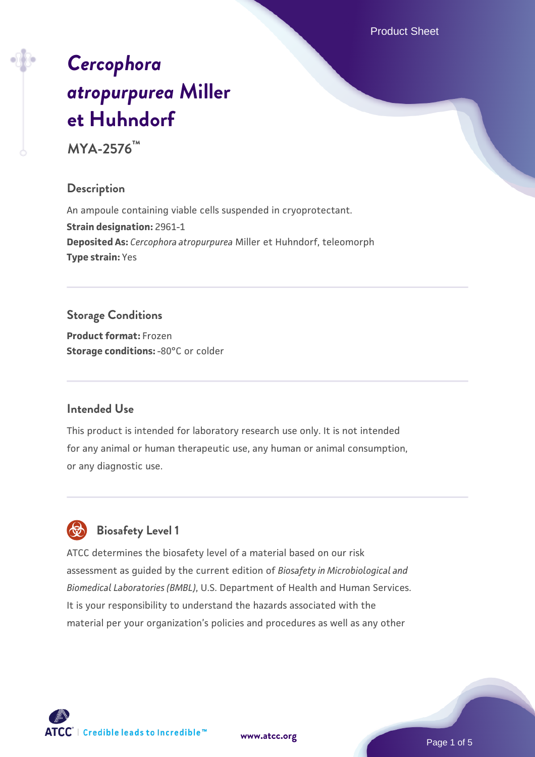Product Sheet

# *[Cercophora](https://www.atcc.org/products/mya-2576) [atropurpurea](https://www.atcc.org/products/mya-2576)* **[Miller](https://www.atcc.org/products/mya-2576) [et Huhndorf](https://www.atcc.org/products/mya-2576)**

**MYA-2576™**

#### **Description**

An ampoule containing viable cells suspended in cryoprotectant. **Strain designation:** 2961-1 **Deposited As:** *Cercophora atropurpurea* Miller et Huhndorf, teleomorph **Type strain:** Yes

# **Storage Conditions**

**Product format:** Frozen **Storage conditions: -80°C** or colder

## **Intended Use**

This product is intended for laboratory research use only. It is not intended for any animal or human therapeutic use, any human or animal consumption, or any diagnostic use.



# **Biosafety Level 1**

ATCC determines the biosafety level of a material based on our risk assessment as guided by the current edition of *Biosafety in Microbiological and Biomedical Laboratories (BMBL)*, U.S. Department of Health and Human Services. It is your responsibility to understand the hazards associated with the material per your organization's policies and procedures as well as any other

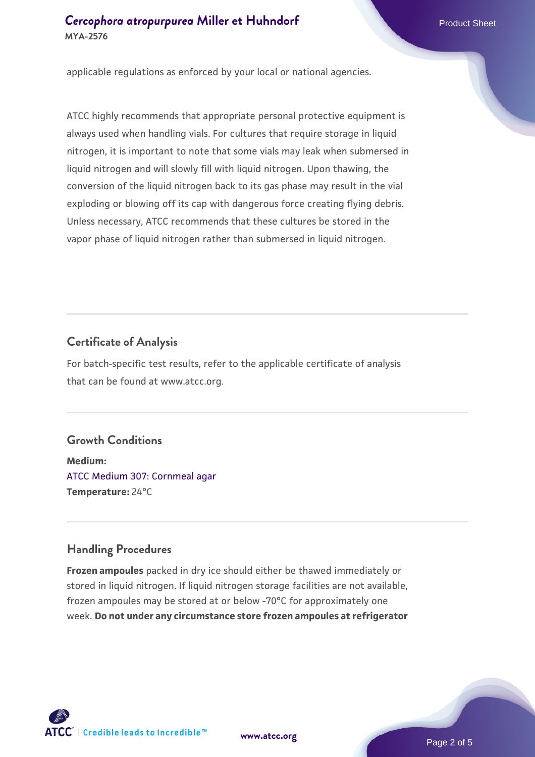#### **[Cercophora atropurpurea](https://www.atcc.org/products/mya-2576)** [Miller et Huhndorf](https://www.atcc.org/products/mya-2576) Product Sheet **MYA-2576**

applicable regulations as enforced by your local or national agencies.

ATCC highly recommends that appropriate personal protective equipment is always used when handling vials. For cultures that require storage in liquid nitrogen, it is important to note that some vials may leak when submersed in liquid nitrogen and will slowly fill with liquid nitrogen. Upon thawing, the conversion of the liquid nitrogen back to its gas phase may result in the vial exploding or blowing off its cap with dangerous force creating flying debris. Unless necessary, ATCC recommends that these cultures be stored in the vapor phase of liquid nitrogen rather than submersed in liquid nitrogen.

#### **Certificate of Analysis**

For batch-specific test results, refer to the applicable certificate of analysis that can be found at www.atcc.org.

## **Growth Conditions**

**Medium:**  [ATCC Medium 307: Cornmeal agar](https://www.atcc.org/-/media/product-assets/documents/microbial-media-formulations/3/0/7/atcc-medium-307.pdf?rev=5cd8aaa5fcde44f5873396cc2a06f590) **Temperature:** 24°C

## **Handling Procedures**

**Frozen ampoules** packed in dry ice should either be thawed immediately or stored in liquid nitrogen. If liquid nitrogen storage facilities are not available, frozen ampoules may be stored at or below -70°C for approximately one week. **Do not under any circumstance store frozen ampoules at refrigerator**

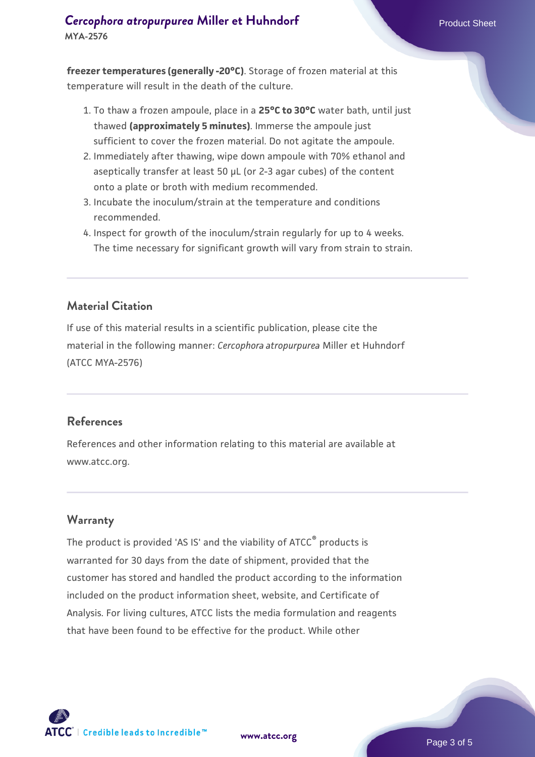## **[Cercophora atropurpurea](https://www.atcc.org/products/mya-2576)** [Miller et Huhndorf](https://www.atcc.org/products/mya-2576) Product Sheet **MYA-2576**

**freezer temperatures (generally -20°C)**. Storage of frozen material at this temperature will result in the death of the culture.

- 1. To thaw a frozen ampoule, place in a **25°C to 30°C** water bath, until just thawed **(approximately 5 minutes)**. Immerse the ampoule just sufficient to cover the frozen material. Do not agitate the ampoule.
- 2. Immediately after thawing, wipe down ampoule with 70% ethanol and aseptically transfer at least 50 µL (or 2-3 agar cubes) of the content onto a plate or broth with medium recommended.
- 3. Incubate the inoculum/strain at the temperature and conditions recommended.
- 4. Inspect for growth of the inoculum/strain regularly for up to 4 weeks. The time necessary for significant growth will vary from strain to strain.

#### **Material Citation**

If use of this material results in a scientific publication, please cite the material in the following manner: *Cercophora atropurpurea* Miller et Huhndorf (ATCC MYA-2576)

#### **References**

References and other information relating to this material are available at www.atcc.org.

#### **Warranty**

The product is provided 'AS IS' and the viability of ATCC<sup>®</sup> products is warranted for 30 days from the date of shipment, provided that the customer has stored and handled the product according to the information included on the product information sheet, website, and Certificate of Analysis. For living cultures, ATCC lists the media formulation and reagents that have been found to be effective for the product. While other



**[www.atcc.org](http://www.atcc.org)**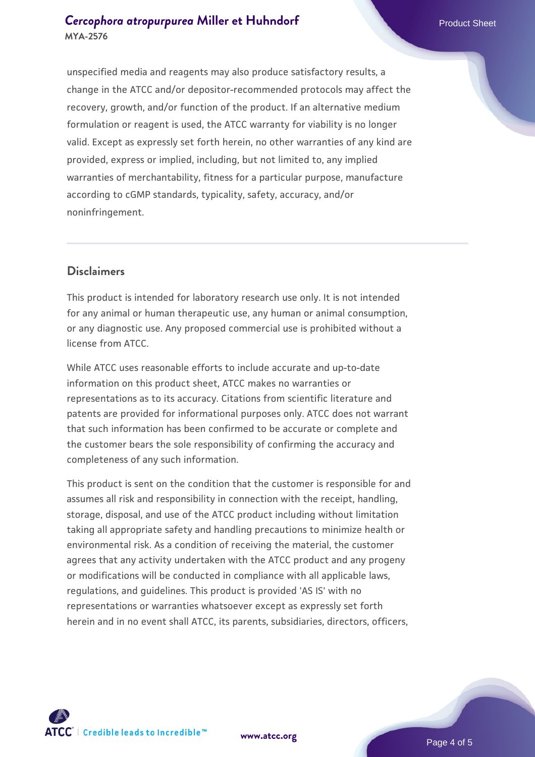unspecified media and reagents may also produce satisfactory results, a change in the ATCC and/or depositor-recommended protocols may affect the recovery, growth, and/or function of the product. If an alternative medium formulation or reagent is used, the ATCC warranty for viability is no longer valid. Except as expressly set forth herein, no other warranties of any kind are provided, express or implied, including, but not limited to, any implied warranties of merchantability, fitness for a particular purpose, manufacture according to cGMP standards, typicality, safety, accuracy, and/or noninfringement.

#### **Disclaimers**

This product is intended for laboratory research use only. It is not intended for any animal or human therapeutic use, any human or animal consumption, or any diagnostic use. Any proposed commercial use is prohibited without a license from ATCC.

While ATCC uses reasonable efforts to include accurate and up-to-date information on this product sheet, ATCC makes no warranties or representations as to its accuracy. Citations from scientific literature and patents are provided for informational purposes only. ATCC does not warrant that such information has been confirmed to be accurate or complete and the customer bears the sole responsibility of confirming the accuracy and completeness of any such information.

This product is sent on the condition that the customer is responsible for and assumes all risk and responsibility in connection with the receipt, handling, storage, disposal, and use of the ATCC product including without limitation taking all appropriate safety and handling precautions to minimize health or environmental risk. As a condition of receiving the material, the customer agrees that any activity undertaken with the ATCC product and any progeny or modifications will be conducted in compliance with all applicable laws, regulations, and guidelines. This product is provided 'AS IS' with no representations or warranties whatsoever except as expressly set forth herein and in no event shall ATCC, its parents, subsidiaries, directors, officers,